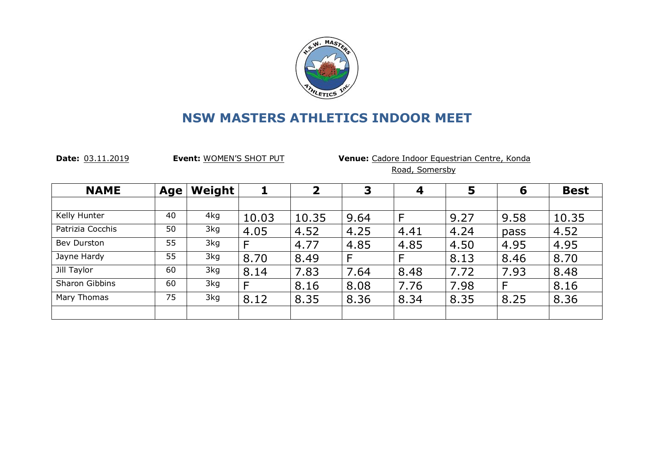

**Date:** 03.11.2019 **Event:** WOMEN'S SHOT PUT **Venue:** Cadore Indoor Equestrian Centre, Konda Road, Somersby

| <b>NAME</b>        | Age | <b>Weight</b> |       | $\overline{\mathbf{2}}$ | 3    | $\boldsymbol{4}$ | 5    | 6    | <b>Best</b> |
|--------------------|-----|---------------|-------|-------------------------|------|------------------|------|------|-------------|
|                    |     |               |       |                         |      |                  |      |      |             |
| Kelly Hunter       | 40  | 4kg           | 10.03 | 10.35                   | 9.64 | F                | 9.27 | 9.58 | 10.35       |
| Patrizia Cocchis   | 50  | 3kg           | 4.05  | 4.52                    | 4.25 | 4.41             | 4.24 | pass | 4.52        |
| <b>Bev Durston</b> | 55  | 3kg           | F     | 4.77                    | 4.85 | 4.85             | 4.50 | 4.95 | 4.95        |
| Jayne Hardy        | 55  | 3kg           | 8.70  | 8.49                    | F    | F                | 8.13 | 8.46 | 8.70        |
| Jill Taylor        | 60  | 3kg           | 8.14  | 7.83                    | 7.64 | 8.48             | 7.72 | 7.93 | 8.48        |
| Sharon Gibbins     | 60  | 3kg           | F     | 8.16                    | 8.08 | 7.76             | 7.98 | F    | 8.16        |
| Mary Thomas        | 75  | 3kg           | 8.12  | 8.35                    | 8.36 | 8.34             | 8.35 | 8.25 | 8.36        |
|                    |     |               |       |                         |      |                  |      |      |             |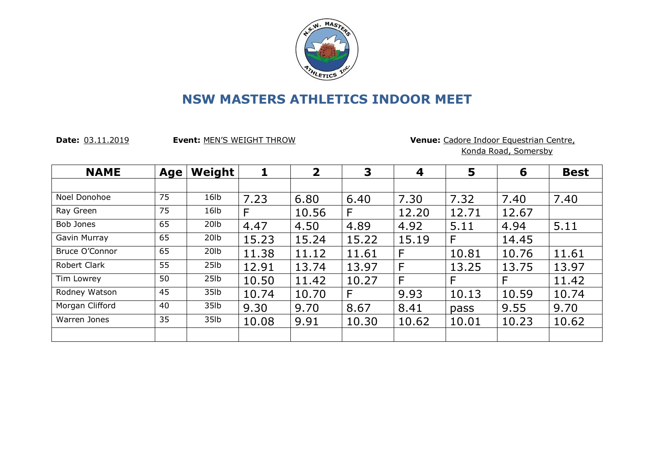

**Date:** 03.11.2019 **Event:** MEN'S WEIGHT THROW **Venue:** Cadore Indoor Equestrian Centre, Konda Road, Somersby

| <b>NAME</b>     | Age | Weight            | 1     | $\overline{2}$ | 3     | 4     | 5     | 6     | <b>Best</b> |
|-----------------|-----|-------------------|-------|----------------|-------|-------|-------|-------|-------------|
|                 |     |                   |       |                |       |       |       |       |             |
| Noel Donohoe    | 75  | 16 <sub>1</sub>   | 7.23  | 6.80           | 6.40  | 7.30  | 7.32  | 7.40  | 7.40        |
| Ray Green       | 75  | 16 <sub>1</sub>   | F     | 10.56          | F     | 12.20 | 12.71 | 12.67 |             |
| Bob Jones       | 65  | 20 <sub>l</sub> b | 4.47  | 4.50           | 4.89  | 4.92  | 5.11  | 4.94  | 5.11        |
| Gavin Murray    | 65  | 20 <sub>l</sub> b | 15.23 | 15.24          | 15.22 | 15.19 | F     | 14.45 |             |
| Bruce O'Connor  | 65  | 20 <sub>l</sub> b | 11.38 | 11.12          | 11.61 | F     | 10.81 | 10.76 | 11.61       |
| Robert Clark    | 55  | 25 <sub>1b</sub>  | 12.91 | 13.74          | 13.97 | F     | 13.25 | 13.75 | 13.97       |
| Tim Lowrey      | 50  | 25 <sub>1b</sub>  | 10.50 | 11.42          | 10.27 | F     | F     | F     | 11.42       |
| Rodney Watson   | 45  | 35lb              | 10.74 | 10.70          | F     | 9.93  | 10.13 | 10.59 | 10.74       |
| Morgan Clifford | 40  | 35 <sub>1b</sub>  | 9.30  | 9.70           | 8.67  | 8.41  | pass  | 9.55  | 9.70        |
| Warren Jones    | 35  | 35lb              | 10.08 | 9.91           | 10.30 | 10.62 | 10.01 | 10.23 | 10.62       |
|                 |     |                   |       |                |       |       |       |       |             |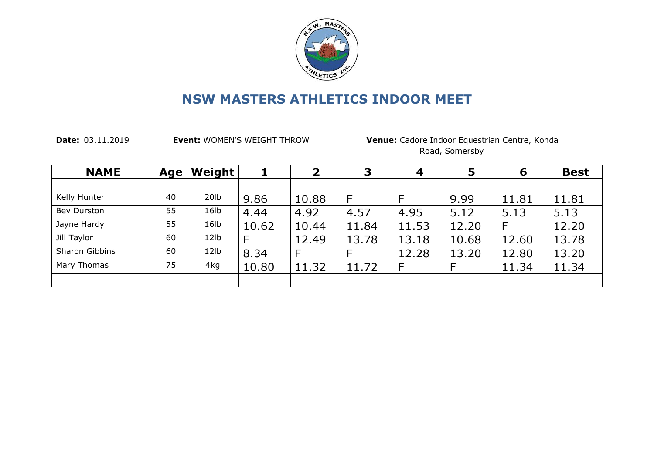

**Date:** 03.11.2019 **Event:** WOMEN'S WEIGHT THROW **Venue:** Cadore Indoor Equestrian Centre, Konda Road, Somersby

| <b>NAME</b>        | Age | Weight            | 1     | $\overline{\mathbf{2}}$ | 3     | $\boldsymbol{4}$ | 5     | 6     | <b>Best</b> |
|--------------------|-----|-------------------|-------|-------------------------|-------|------------------|-------|-------|-------------|
|                    |     |                   |       |                         |       |                  |       |       |             |
| Kelly Hunter       | 40  | 20 <sub>1</sub> b | 9.86  | 10.88                   | F     | F                | 9.99  | 11.81 | 11.81       |
| <b>Bev Durston</b> | 55  | 16lb              | 4.44  | 4.92                    | 4.57  | 4.95             | 5.12  | 5.13  | 5.13        |
| Jayne Hardy        | 55  | 16lb              | 10.62 | 10.44                   | 11.84 | 11.53            | 12.20 |       | 12.20       |
| Jill Taylor        | 60  | 12 <sub>1b</sub>  | F     | 12.49                   | 13.78 | 13.18            | 10.68 | 12.60 | 13.78       |
| Sharon Gibbins     | 60  | 12 <sub>1b</sub>  | 8.34  |                         | F     | 12.28            | 13.20 | 12.80 | 13.20       |
| Mary Thomas        | 75  | 4kg               | 10.80 | 11.32                   | 11.72 | F                | F     | 11.34 | 11.34       |
|                    |     |                   |       |                         |       |                  |       |       |             |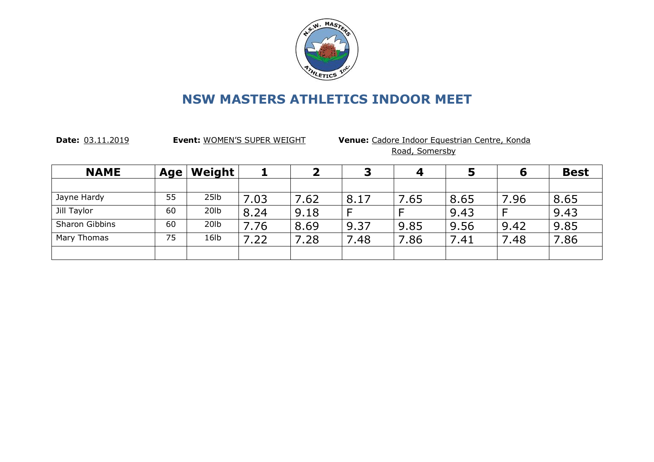

**Date:** 03.11.2019 **Event:** WOMEN'S SUPER WEIGHT **Venue:** Cadore Indoor Equestrian Centre, Konda Road, Somersby

| <b>NAME</b>    | Age | Weight            |      |      |      |      |      | 6    | <b>Best</b> |
|----------------|-----|-------------------|------|------|------|------|------|------|-------------|
|                |     |                   |      |      |      |      |      |      |             |
| Jayne Hardy    | 55  | 25 <sub>1b</sub>  | 7.03 | 7.62 | 8.17 | 7.65 | 8.65 | 7.96 | 8.65        |
| Jill Taylor    | 60  | 20 <sub>lb</sub>  | 8.24 | 9.18 | F    |      | 9.43 |      | 9.43        |
| Sharon Gibbins | 60  | 20 <sub>1</sub> b | .76  | 8.69 | 9.37 | 9.85 | 9.56 | 9.42 | 9.85        |
| Mary Thomas    | 75  | 16 <sub>lb</sub>  | 7.22 | 7.28 | 7.48 | 7.86 | 7.41 | 7.48 | 7.86        |
|                |     |                   |      |      |      |      |      |      |             |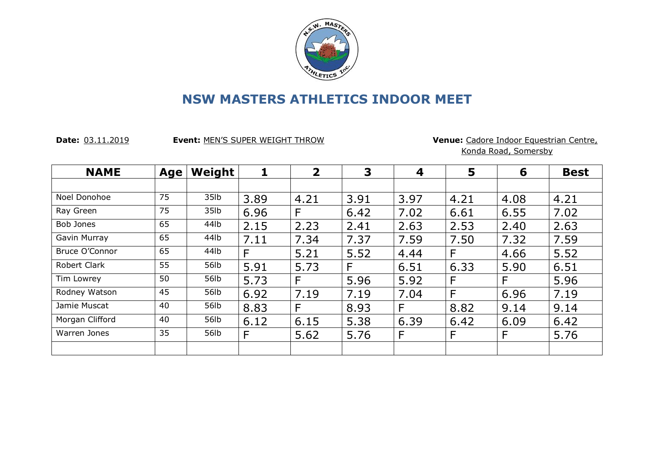

**Date:** 03.11.2019 **Event:** MEN'S SUPER WEIGHT THROW **Venue:** Cadore Indoor Equestrian Centre, Konda Road, Somersby

| <b>NAME</b>     | Age | Weight           |      | $\overline{2}$ | 3    | 4    | 5    | 6    | <b>Best</b> |
|-----------------|-----|------------------|------|----------------|------|------|------|------|-------------|
|                 |     |                  |      |                |      |      |      |      |             |
| Noel Donohoe    | 75  | 35 <sub>1b</sub> | 3.89 | 4.21           | 3.91 | 3.97 | 4.21 | 4.08 | 4.21        |
| Ray Green       | 75  | 35 <sub>1b</sub> | 6.96 | F              | 6.42 | 7.02 | 6.61 | 6.55 | 7.02        |
| Bob Jones       | 65  | 44lb             | 2.15 | 2.23           | 2.41 | 2.63 | 2.53 | 2.40 | 2.63        |
| Gavin Murray    | 65  | 44lb             | 7.11 | 7.34           | 7.37 | 7.59 | 7.50 | 7.32 | 7.59        |
| Bruce O'Connor  | 65  | 44lb             | F    | 5.21           | 5.52 | 4.44 | F    | 4.66 | 5.52        |
| Robert Clark    | 55  | 56lb             | 5.91 | 5.73           | F    | 6.51 | 6.33 | 5.90 | 6.51        |
| Tim Lowrey      | 50  | 56lb             | 5.73 | F              | 5.96 | 5.92 | F    | F    | 5.96        |
| Rodney Watson   | 45  | 56lb             | 6.92 | 7.19           | 7.19 | 7.04 | F    | 6.96 | 7.19        |
| Jamie Muscat    | 40  | 56lb             | 8.83 | F              | 8.93 | F    | 8.82 | 9.14 | 9.14        |
| Morgan Clifford | 40  | 56lb             | 6.12 | 6.15           | 5.38 | 6.39 | 6.42 | 6.09 | 6.42        |
| Warren Jones    | 35  | 56lb             | F    | 5.62           | 5.76 | F    | F    | F    | 5.76        |
|                 |     |                  |      |                |      |      |      |      |             |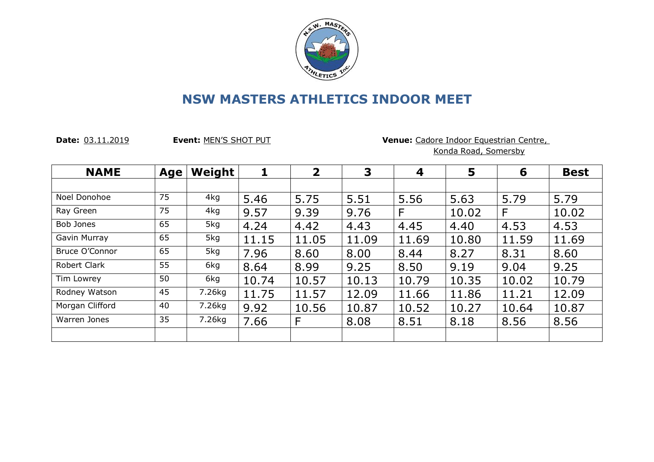

**Date:** 03.11.2019 **Event:** MEN'S SHOT PUT **Venue:** Cadore Indoor Equestrian Centre,

Konda Road, Somersby

| <b>NAME</b>     | Age | Weight | 1     | $\overline{2}$ | 3     | 4     | 5     | 6     | <b>Best</b> |
|-----------------|-----|--------|-------|----------------|-------|-------|-------|-------|-------------|
|                 |     |        |       |                |       |       |       |       |             |
| Noel Donohoe    | 75  | 4kg    | 5.46  | 5.75           | 5.51  | 5.56  | 5.63  | 5.79  | 5.79        |
| Ray Green       | 75  | 4kg    | 9.57  | 9.39           | 9.76  | F     | 10.02 | F     | 10.02       |
| Bob Jones       | 65  | 5kg    | 4.24  | 4.42           | 4.43  | 4.45  | 4.40  | 4.53  | 4.53        |
| Gavin Murray    | 65  | 5kg    | 11.15 | 11.05          | 11.09 | 11.69 | 10.80 | 11.59 | 11.69       |
| Bruce O'Connor  | 65  | 5kg    | 7.96  | 8.60           | 8.00  | 8.44  | 8.27  | 8.31  | 8.60        |
| Robert Clark    | 55  | 6kg    | 8.64  | 8.99           | 9.25  | 8.50  | 9.19  | 9.04  | 9.25        |
| Tim Lowrey      | 50  | 6kg    | 10.74 | 10.57          | 10.13 | 10.79 | 10.35 | 10.02 | 10.79       |
| Rodney Watson   | 45  | 7.26kg | 11.75 | 11.57          | 12.09 | 11.66 | 11.86 | 11.21 | 12.09       |
| Morgan Clifford | 40  | 7.26kg | 9.92  | 10.56          | 10.87 | 10.52 | 10.27 | 10.64 | 10.87       |
| Warren Jones    | 35  | 7.26kg | 7.66  | F              | 8.08  | 8.51  | 8.18  | 8.56  | 8.56        |
|                 |     |        |       |                |       |       |       |       |             |